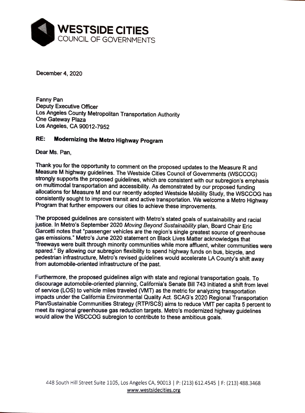

December 4, 2020

Fanny Pan Deputy Executive Officer Los Angeles County Metropolitan Transportation Authority One Gateway Plaza Los Angeles, CA 90012-7952

## **RE: Modernizing the Metro Highway Program**

Dear Ms. Pan,

Thank you for the opportunity to comment on the proposed updates to the Measure R and Measure M highway guidelines. The Westside Cities Council of Governments (WSCCOG) strongly supports the proposed guidelines, which are consistent with our subregion's emphasis on multimodal transportation and accessibility. As demonstrated by our proposed funding allocations for Measure Mand our recently adopted Westside Mobility Study, the WSCCOG has consistently sought to improve transit and active transportation. We welcome a Metro Highway Program that further empowers our cities to achieve these improvements.

The proposed guidelines are consistent with Metro's stated goals of sustainability and racial justice. In Metro's September 2020 Moving Beyond Sustainability plan, Board Chair Eric Garcetti notes that "passenger vehicles are the region's single greatest source of greenhouse gas emissions." Metro's June 2020 statement on Black Lives Matter acknowledges that "freeways were built through minority communities while more affluent, whiter communities were spared." By allowing our subregion flexibility to spend highway funds on bus, bicycle, and pedestrian infrastructure, Metro's revised guidelines would accelerate LA County's shift away from automobile-oriented infrastructure of the past.

Furthermore, the proposed guidelines align with state and regional transportation goals. To discourage automobile-oriented planning, California's Senate Bill 743 initiated a shift from level of service (LOS) to vehicle miles traveled (VMT) as the metric for analyzing transportation impacts under the California Environmental Quality Act. SCAG's 2020 Regional Transportation Plan/Sustainable Communities Strategy (RTP/SCS) aims to reduce VMT per capita 5 percent to meet its regional greenhouse gas reduction targets. Metro's modernized highway guidelines would allow the WSCCOG subregion to contribute to these ambitious goals.

448 South Hill Street Suite 1105, Los Angeles CA, 90013 | P: (213) 612.4545 | F: (213) 488.3468 www.westsidecities.org